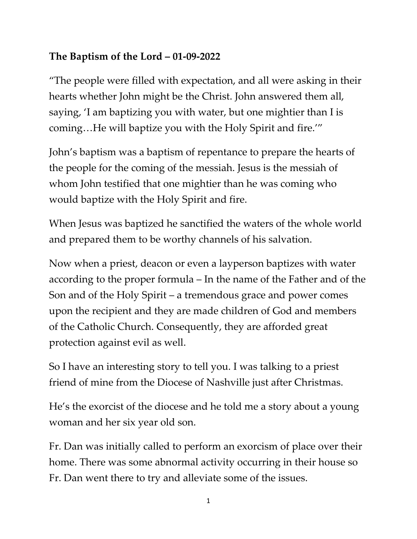## **The Baptism of the Lord – 01-09-2022**

"The people were filled with expectation, and all were asking in their hearts whether John might be the Christ. John answered them all, saying, 'I am baptizing you with water, but one mightier than I is coming…He will baptize you with the Holy Spirit and fire.'"

John's baptism was a baptism of repentance to prepare the hearts of the people for the coming of the messiah. Jesus is the messiah of whom John testified that one mightier than he was coming who would baptize with the Holy Spirit and fire.

When Jesus was baptized he sanctified the waters of the whole world and prepared them to be worthy channels of his salvation.

Now when a priest, deacon or even a layperson baptizes with water according to the proper formula – In the name of the Father and of the Son and of the Holy Spirit – a tremendous grace and power comes upon the recipient and they are made children of God and members of the Catholic Church. Consequently, they are afforded great protection against evil as well.

So I have an interesting story to tell you. I was talking to a priest friend of mine from the Diocese of Nashville just after Christmas.

He's the exorcist of the diocese and he told me a story about a young woman and her six year old son.

Fr. Dan was initially called to perform an exorcism of place over their home. There was some abnormal activity occurring in their house so Fr. Dan went there to try and alleviate some of the issues.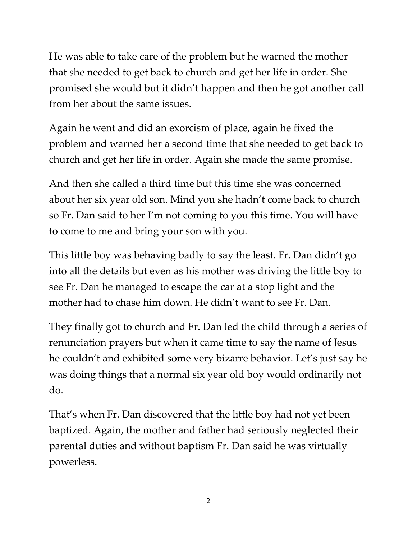He was able to take care of the problem but he warned the mother that she needed to get back to church and get her life in order. She promised she would but it didn't happen and then he got another call from her about the same issues.

Again he went and did an exorcism of place, again he fixed the problem and warned her a second time that she needed to get back to church and get her life in order. Again she made the same promise.

And then she called a third time but this time she was concerned about her six year old son. Mind you she hadn't come back to church so Fr. Dan said to her I'm not coming to you this time. You will have to come to me and bring your son with you.

This little boy was behaving badly to say the least. Fr. Dan didn't go into all the details but even as his mother was driving the little boy to see Fr. Dan he managed to escape the car at a stop light and the mother had to chase him down. He didn't want to see Fr. Dan.

They finally got to church and Fr. Dan led the child through a series of renunciation prayers but when it came time to say the name of Jesus he couldn't and exhibited some very bizarre behavior. Let's just say he was doing things that a normal six year old boy would ordinarily not do.

That's when Fr. Dan discovered that the little boy had not yet been baptized. Again, the mother and father had seriously neglected their parental duties and without baptism Fr. Dan said he was virtually powerless.